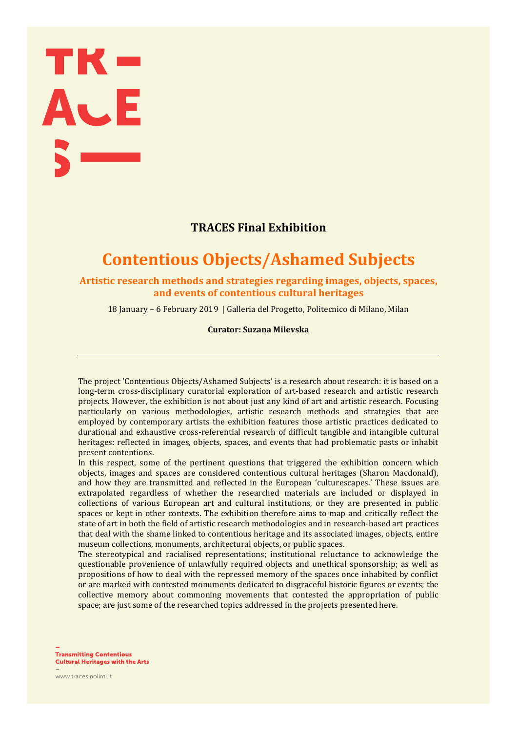# TK-<br>AJE

# **TRACES Final Exhibition**

# **Contentious Objects/Ashamed Subjects**

**Artistic research methods and strategies regarding images, objects, spaces, and events of contentious cultural heritages**

18 January – 6 February 2019 | Galleria del Progetto, Politecnico di Milano, Milan

**Curator: Suzana Milevska**

The project 'Contentious Objects/Ashamed Subjects' is a research about research: it is based on a long-term cross-disciplinary curatorial exploration of art-based research and artistic research projects. However, the exhibition is not about just any kind of art and artistic research. Focusing particularly on various methodologies, artistic research methods and strategies that are employed by contemporary artists the exhibition features those artistic practices dedicated to durational and exhaustive cross-referential research of difficult tangible and intangible cultural heritages: reflected in images, objects, spaces, and events that had problematic pasts or inhabit present contentions.

In this respect, some of the pertinent questions that triggered the exhibition concern which objects, images and spaces are considered contentious cultural heritages (Sharon Macdonald), and how they are transmitted and reflected in the European 'culturescapes.' These issues are extrapolated regardless of whether the researched materials are included or displayed in collections of various European art and cultural institutions, or they are presented in public spaces or kept in other contexts. The exhibition therefore aims to map and critically reflect the state of art in both the field of artistic research methodologies and in research-based art practices that deal with the shame linked to contentious heritage and its associated images, objects, entire museum collections, monuments, architectural objects, or public spaces.

The stereotypical and racialised representations; institutional reluctance to acknowledge the questionable provenience of unlawfully required objects and unethical sponsorship; as well as propositions of how to deal with the repressed memory of the spaces once inhabited by conflict or are marked with contested monuments dedicated to disgraceful historic figures or events; the collective memory about commoning movements that contested the appropriation of public space; are just some of the researched topics addressed in the projects presented here.

**Transmitting Contentious Cultural Heritages with the Arts** 

www.traces.polimi.it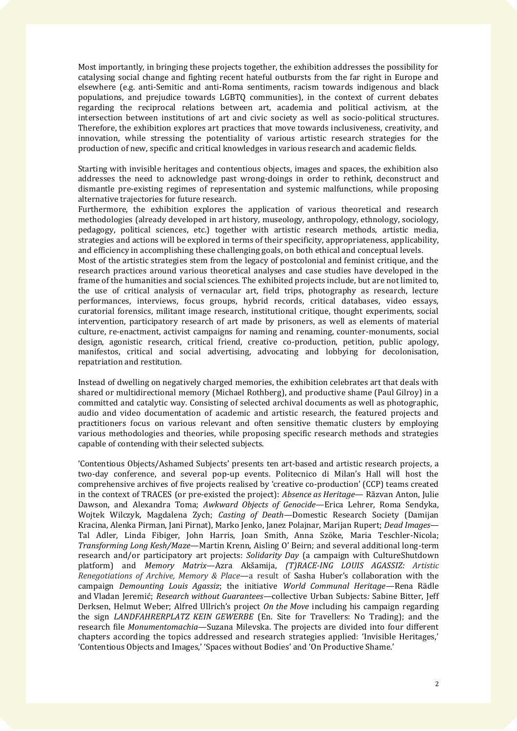Most importantly, in bringing these projects together, the exhibition addresses the possibility for catalysing social change and fighting recent hateful outbursts from the far right in Europe and elsewhere (e.g. anti-Semitic and anti-Roma sentiments, racism towards indigenous and black populations, and prejudice towards LGBTQ communities), in the context of current debates regarding the reciprocal relations between art, academia and political activism, at the intersection between institutions of art and civic society as well as socio-political structures. Therefore, the exhibition explores art practices that move towards inclusiveness, creativity, and innovation, while stressing the potentiality of various artistic research strategies for the production of new, specific and critical knowledges in various research and academic fields.

Starting with invisible heritages and contentious objects, images and spaces, the exhibition also addresses the need to acknowledge past wrong-doings in order to rethink, deconstruct and dismantle pre-existing regimes of representation and systemic malfunctions, while proposing alternative trajectories for future research.

Furthermore, the exhibition explores the application of various theoretical and research methodologies (already developed in art history, museology, anthropology, ethnology, sociology, pedagogy, political sciences, etc.) together with artistic research methods, artistic media, strategies and actions will be explored in terms of their specificity, appropriateness, applicability, and efficiency in accomplishing these challenging goals, on both ethical and conceptual levels.

Most of the artistic strategies stem from the legacy of postcolonial and feminist critique, and the research practices around various theoretical analyses and case studies have developed in the frame of the humanities and social sciences. The exhibited projects include, but are not limited to, the use of critical analysis of vernacular art, field trips, photography as research, lecture performances, interviews, focus groups, hybrid records, critical databases, video essays, curatorial forensics, militant image research, institutional critique, thought experiments, social intervention, participatory research of art made by prisoners, as well as elements of material culture, re-enactment, activist campaigns for naming and renaming, counter-monuments, social design, agonistic research, critical friend, creative co-production, petition, public apology, manifestos, critical and social advertising, advocating and lobbying for decolonisation, repatriation and restitution.

Instead of dwelling on negatively charged memories, the exhibition celebrates art that deals with shared or multidirectional memory (Michael Rothberg), and productive shame (Paul Gilroy) in a committed and catalytic way. Consisting of selected archival documents as well as photographic, audio and video documentation of academic and artistic research, the featured projects and practitioners focus on various relevant and often sensitive thematic clusters by employing various methodologies and theories, while proposing specific research methods and strategies capable of contending with their selected subjects.

'Contentious Objects/Ashamed Subjects' presents ten art-based and artistic research projects, a two-day conference, and several pop-up events. Politecnico di Milan's Hall will host the comprehensive archives of five projects realised by 'creative co-production' (CCP) teams created in the context of TRACES (or pre-existed the project): *Absence as Heritage*— Răzvan Anton, Julie Dawson, and Alexandra Toma; *Awkward Objects of Genocide*—Erica Lehrer, Roma Sendyka, Wojtek Wilczyk, Magdalena Zych; *Casting of Death*—Domestic Research Society (Damijan Kracina, Alenka Pirman, Jani Pirnat), Marko Jenko, Janez Polajnar, Marijan Rupert; *Dead Images*— Tal Adler, Linda Fibiger, John Harris, Joan Smith, Anna Szöke, Maria Teschler-Nicola; *Transforming Long Kesh/Maze*—Martin Krenn, Aisling O' Beirn; and several additional long-term research and/or participatory art projects: *Solidarity Day* (a campaign with CultureShutdown platform) and *Memory Matrix*—Azra Akšamija, *(T)RACE-ING LOUIS AGASSIZ: Artistic Renegotiations of Archive, Memory & Place*—a result of Sasha Huber's collaboration with the campaign *Demounting Louis Agassiz*; the initiative *World Communal Heritage*—Rena Rädle and Vladan Jeremić; *Research without Guarantees—*collective Urban Subjects*:* Sabine Bitter, Jeff Derksen, Helmut Weber; Alfred Ullrich's project *On the Move* including his campaign regarding the sign *LANDFAHRERPLATZ KEIN GEWERBE* (En. Site for Travellers: No Trading); and the research file *Monumentomachia*—Suzana Milevska. The projects are divided into four different chapters according the topics addressed and research strategies applied: 'Invisible Heritages,' 'Contentious Objects and Images,' 'Spaces without Bodies' and 'On Productive Shame.'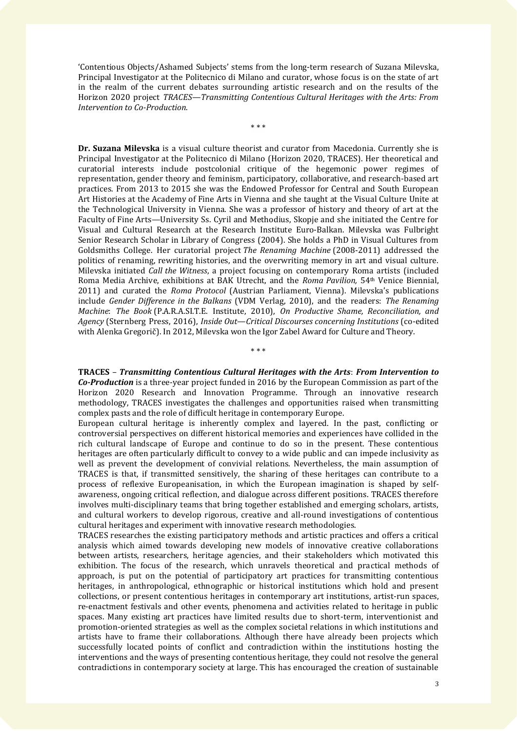'Contentious Objects/Ashamed Subjects' stems from the long-term research of Suzana Milevska, Principal Investigator at the Politecnico di Milano and curator, whose focus is on the state of art in the realm of the current debates surrounding artistic research and on the results of the Horizon 2020 project *TRACES*—*Transmitting Contentious Cultural Heritages with the Arts: From Intervention to Co-Production*.

\* \* \*

**Dr. Suzana Milevska** is a visual culture theorist and curator from Macedonia. Currently she is Principal Investigator at the Politecnico di Milano (Horizon 2020, TRACES). Her theoretical and curatorial interests include postcolonial critique of the hegemonic power regimes of representation, gender theory and feminism, participatory, collaborative, and research-based art practices. From 2013 to 2015 she was the Endowed Professor for Central and South European Art Histories at the Academy of Fine Arts in Vienna and she taught at the Visual Culture Unite at the Technological University in Vienna. She was a professor of history and theory of art at the Faculty of Fine Arts—University Ss. Cyril and Methodius, Skopje and she initiated the Centre for Visual and Cultural Research at the Research Institute Euro-Balkan. Milevska was Fulbright Senior Research Scholar in Library of Congress (2004). She holds a PhD in Visual Cultures from Goldsmiths College. Her curatorial project *The Renaming Machine* (2008-2011) addressed the politics of renaming, rewriting histories, and the overwriting memory in art and visual culture. Milevska initiated *Call the Witness*, a project focusing on contemporary Roma artists (included Roma Media Archive, exhibitions at BAK Utrecht, and the *Roma Pavilion,* 54th Venice Biennial, 2011) and curated the *Roma Protocol* (Austrian Parliament, Vienna). Milevska's publications include *Gender Difference in the Balkans* (VDM Verlag, 2010), and the readers: *The Renaming Machine*: *The Book* (P.A.R.A.SI.T.E. Institute, 2010), *On Productive Shame, Reconciliation, and Agency* (Sternberg Press, 2016), *Inside Out*—*Critical Discourses concerning Institutions* (co-edited with Alenka Gregorič). In 2012, Milevska won the Igor Zabel Award for Culture and Theory.

**TRACES** *– Transmitting Contentious Cultural Heritages with the Arts*: *From Intervention to Co-Production* is a three-year project funded in 2016 by the European Commission as part of the Horizon 2020 Research and Innovation Programme. Through an innovative research methodology, TRACES investigates the challenges and opportunities raised when transmitting complex pasts and the role of difficult heritage in contemporary Europe.

\* \* \*

European cultural heritage is inherently complex and layered. In the past, conflicting or controversial perspectives on different historical memories and experiences have collided in the rich cultural landscape of Europe and continue to do so in the present. These contentious heritages are often particularly difficult to convey to a wide public and can impede inclusivity as well as prevent the development of convivial relations. Nevertheless, the main assumption of TRACES is that, if transmitted sensitively, the sharing of these heritages can contribute to a process of reflexive Europeanisation, in which the European imagination is shaped by selfawareness, ongoing critical reflection, and dialogue across different positions. TRACES therefore involves multi-disciplinary teams that bring together established and emerging scholars, artists, and cultural workers to develop rigorous, creative and all-round investigations of contentious cultural heritages and experiment with innovative research methodologies.

TRACES researches the existing participatory methods and artistic practices and offers a critical analysis which aimed towards developing new models of innovative creative collaborations between artists, researchers, heritage agencies, and their stakeholders which motivated this exhibition. The focus of the research, which unravels theoretical and practical methods of approach, is put on the potential of participatory art practices for transmitting contentious heritages, in anthropological, ethnographic or historical institutions which hold and present collections, or present contentious heritages in contemporary art institutions, artist-run spaces, re-enactment festivals and other events, phenomena and activities related to heritage in public spaces. Many existing art practices have limited results due to short-term, interventionist and promotion-oriented strategies as well as the complex societal relations in which institutions and artists have to frame their collaborations. Although there have already been projects which successfully located points of conflict and contradiction within the institutions hosting the interventions and the ways of presenting contentious heritage, they could not resolve the general contradictions in contemporary society at large. This has encouraged the creation of sustainable

3